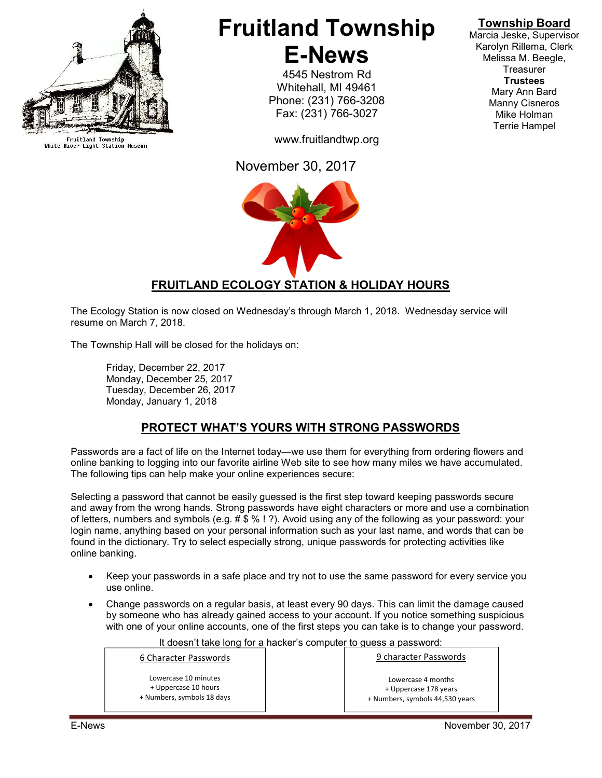

Fruitland Township<br>White River Light Station Museum

# Fruitland Township E-News

4545 Nestrom Rd Whitehall, MI 49461 Phone: (231) 766-3208 Fax: (231) 766-3027

www.fruitlandtwp.org

November 30, 2017



# Township Board

Marcia Jeske, Supervisor Karolyn Rillema, Clerk Melissa M. Beegle, **Treasurer Trustees** Mary Ann Bard Manny Cisneros Mike Holman Terrie Hampel

## FRUITLAND ECOLOGY STATION & HOLIDAY HOURS

The Ecology Station is now closed on Wednesday's through March 1, 2018. Wednesday service will resume on March 7, 2018.

The Township Hall will be closed for the holidays on:

 Friday, December 22, 2017 Monday, December 25, 2017 Tuesday, December 26, 2017 Monday, January 1, 2018

## PROTECT WHAT'S YOURS WITH STRONG PASSWORDS

Passwords are a fact of life on the Internet today—we use them for everything from ordering flowers and online banking to logging into our favorite airline Web site to see how many miles we have accumulated. The following tips can help make your online experiences secure:

Selecting a password that cannot be easily guessed is the first step toward keeping passwords secure and away from the wrong hands. Strong passwords have eight characters or more and use a combination of letters, numbers and symbols (e.g. # \$ % ! ?). Avoid using any of the following as your password: your login name, anything based on your personal information such as your last name, and words that can be found in the dictionary. Try to select especially strong, unique passwords for protecting activities like online banking.

- Keep your passwords in a safe place and try not to use the same password for every service you use online.
- Change passwords on a regular basis, at least every 90 days. This can limit the damage caused by someone who has already gained access to your account. If you notice something suspicious with one of your online accounts, one of the first steps you can take is to change your password.

It doesn't take long for a hacker's computer to guess a password: 6 Character Passwords Lowercase 10 minutes + Uppercase 10 hours + Numbers, symbols 18 days 9 character Passwords Lowercase 4 months + Uppercase 178 years + Numbers, symbols 44,530 years